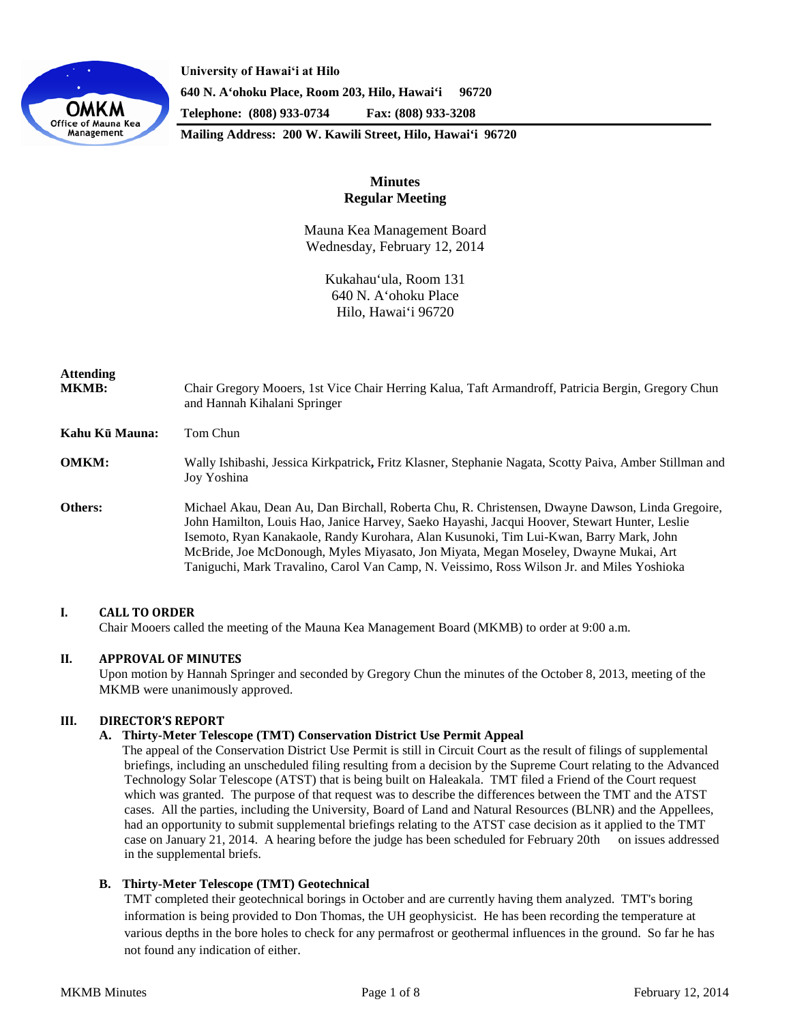

**University of Hawaiʻi at Hilo 640 N. A'ohoku Place, Room 203, Hilo, Hawai'i 96720 Telephone: (808) 933-0734 Fax: (808) 933-3208**

**Mailing Address: 200 W. Kawili Street, Hilo, Hawai'i 96720**

# **Minutes Regular Meeting**

Mauna Kea Management Board Wednesday, February 12, 2014

> Kukahau'ula, Room 131 640 N. A'ohoku Place Hilo, Hawai'i 96720

| <b>Attending</b><br><b>MKMB:</b> | Chair Gregory Mooers, 1st Vice Chair Herring Kalua, Taft Armandroff, Patricia Bergin, Gregory Chun<br>and Hannah Kihalani Springer                                                                                                                                                                                                                                                                                                                                                |
|----------------------------------|-----------------------------------------------------------------------------------------------------------------------------------------------------------------------------------------------------------------------------------------------------------------------------------------------------------------------------------------------------------------------------------------------------------------------------------------------------------------------------------|
| Kahu Kū Mauna:                   | Tom Chun                                                                                                                                                                                                                                                                                                                                                                                                                                                                          |
| <b>OMKM:</b>                     | Wally Ishibashi, Jessica Kirkpatrick, Fritz Klasner, Stephanie Nagata, Scotty Paiva, Amber Stillman and<br>Joy Yoshina                                                                                                                                                                                                                                                                                                                                                            |
| Others:                          | Michael Akau, Dean Au, Dan Birchall, Roberta Chu, R. Christensen, Dwayne Dawson, Linda Gregoire,<br>John Hamilton, Louis Hao, Janice Harvey, Saeko Hayashi, Jacqui Hoover, Stewart Hunter, Leslie<br>Isemoto, Ryan Kanakaole, Randy Kurohara, Alan Kusunoki, Tim Lui-Kwan, Barry Mark, John<br>McBride, Joe McDonough, Myles Miyasato, Jon Miyata, Megan Moseley, Dwayne Mukai, Art<br>Taniguchi, Mark Travalino, Carol Van Camp, N. Veissimo, Ross Wilson Jr. and Miles Yoshioka |

### **I. CALL TO ORDER**

Chair Mooers called the meeting of the Mauna Kea Management Board (MKMB) to order at 9:00 a.m.

### **II. APPROVAL OF MINUTES**

Upon motion by Hannah Springer and seconded by Gregory Chun the minutes of the October 8, 2013, meeting of the MKMB were unanimously approved.

## **III. DIRECTOR'S REPORT**

#### **A. Thirty-Meter Telescope (TMT) Conservation District Use Permit Appeal**

The appeal of the Conservation District Use Permit is still in Circuit Court as the result of filings of supplemental briefings, including an unscheduled filing resulting from a decision by the Supreme Court relating to the Advanced Technology Solar Telescope (ATST) that is being built on Haleakala. TMT filed a Friend of the Court request which was granted. The purpose of that request was to describe the differences between the TMT and the ATST cases. All the parties, including the University, Board of Land and Natural Resources (BLNR) and the Appellees, had an opportunity to submit supplemental briefings relating to the ATST case decision as it applied to the TMT case on January 21, 2014. A hearing before the judge has been scheduled for February 20th on issues addressed in the supplemental briefs.

### **B. Thirty-Meter Telescope (TMT) Geotechnical**

TMT completed their geotechnical borings in October and are currently having them analyzed. TMT's boring information is being provided to Don Thomas, the UH geophysicist. He has been recording the temperature at various depths in the bore holes to check for any permafrost or geothermal influences in the ground. So far he has not found any indication of either.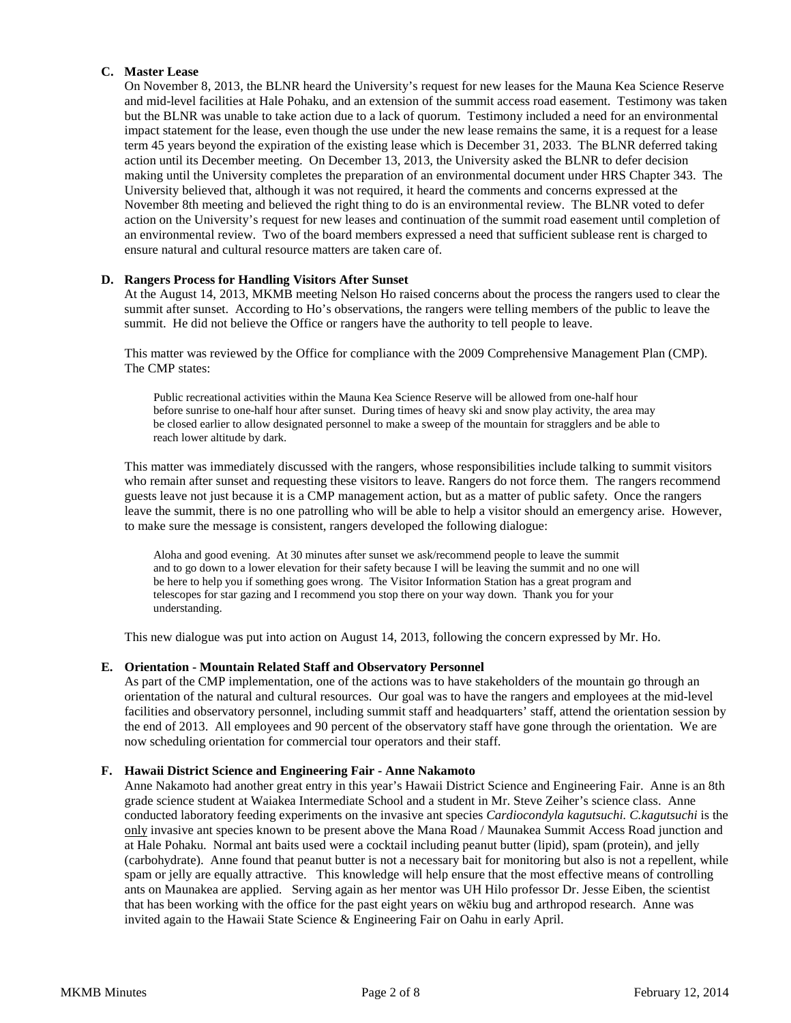## **C. Master Lease**

On November 8, 2013, the BLNR heard the University's request for new leases for the Mauna Kea Science Reserve and mid-level facilities at Hale Pohaku, and an extension of the summit access road easement. Testimony was taken but the BLNR was unable to take action due to a lack of quorum. Testimony included a need for an environmental impact statement for the lease, even though the use under the new lease remains the same, it is a request for a lease term 45 years beyond the expiration of the existing lease which is December 31, 2033. The BLNR deferred taking action until its December meeting. On December 13, 2013, the University asked the BLNR to defer decision making until the University completes the preparation of an environmental document under HRS Chapter 343. The University believed that, although it was not required, it heard the comments and concerns expressed at the November 8th meeting and believed the right thing to do is an environmental review. The BLNR voted to defer action on the University's request for new leases and continuation of the summit road easement until completion of an environmental review. Two of the board members expressed a need that sufficient sublease rent is charged to ensure natural and cultural resource matters are taken care of.

### **D. Rangers Process for Handling Visitors After Sunset**

At the August 14, 2013, MKMB meeting Nelson Ho raised concerns about the process the rangers used to clear the summit after sunset. According to Ho's observations, the rangers were telling members of the public to leave the summit. He did not believe the Office or rangers have the authority to tell people to leave.

This matter was reviewed by the Office for compliance with the 2009 Comprehensive Management Plan (CMP). The CMP states:

Public recreational activities within the Mauna Kea Science Reserve will be allowed from one-half hour before sunrise to one-half hour after sunset. During times of heavy ski and snow play activity, the area may be closed earlier to allow designated personnel to make a sweep of the mountain for stragglers and be able to reach lower altitude by dark.

This matter was immediately discussed with the rangers, whose responsibilities include talking to summit visitors who remain after sunset and requesting these visitors to leave. Rangers do not force them. The rangers recommend guests leave not just because it is a CMP management action, but as a matter of public safety. Once the rangers leave the summit, there is no one patrolling who will be able to help a visitor should an emergency arise. However, to make sure the message is consistent, rangers developed the following dialogue:

Aloha and good evening. At 30 minutes after sunset we ask/recommend people to leave the summit and to go down to a lower elevation for their safety because I will be leaving the summit and no one will be here to help you if something goes wrong. The Visitor Information Station has a great program and telescopes for star gazing and I recommend you stop there on your way down. Thank you for your understanding.

This new dialogue was put into action on August 14, 2013, following the concern expressed by Mr. Ho.

#### **E. Orientation - Mountain Related Staff and Observatory Personnel**

As part of the CMP implementation, one of the actions was to have stakeholders of the mountain go through an orientation of the natural and cultural resources. Our goal was to have the rangers and employees at the mid-level facilities and observatory personnel, including summit staff and headquarters' staff, attend the orientation session by the end of 2013. All employees and 90 percent of the observatory staff have gone through the orientation. We are now scheduling orientation for commercial tour operators and their staff.

#### **F. Hawaii District Science and Engineering Fair - Anne Nakamoto**

Anne Nakamoto had another great entry in this year's Hawaii District Science and Engineering Fair. Anne is an 8th grade science student at Waiakea Intermediate School and a student in Mr. Steve Zeiher's science class. Anne conducted laboratory feeding experiments on the invasive ant species *Cardiocondyla kagutsuchi. C.kagutsuchi* is the only invasive ant species known to be present above the Mana Road / Maunakea Summit Access Road junction and at Hale Pohaku. Normal ant baits used were a cocktail including peanut butter (lipid), spam (protein), and jelly (carbohydrate). Anne found that peanut butter is not a necessary bait for monitoring but also is not a repellent, while spam or jelly are equally attractive. This knowledge will help ensure that the most effective means of controlling ants on Maunakea are applied. Serving again as her mentor was UH Hilo professor Dr. Jesse Eiben, the scientist that has been working with the office for the past eight years on wēkiu bug and arthropod research. Anne was invited again to the Hawaii State Science & Engineering Fair on Oahu in early April.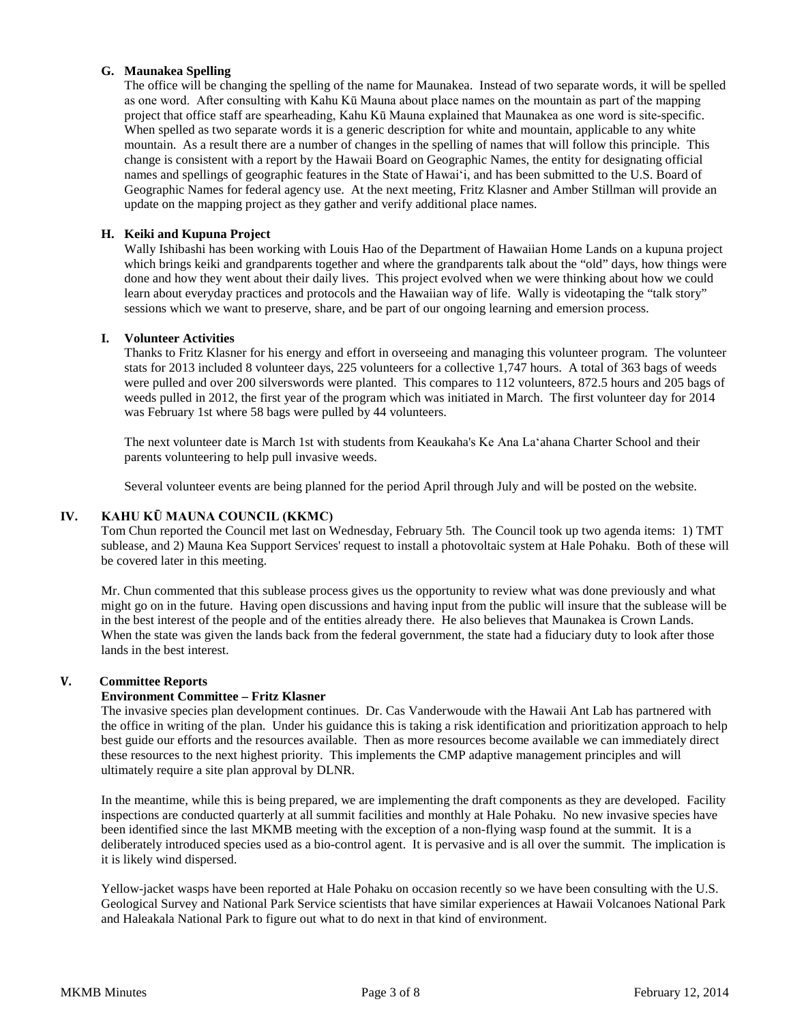## **G. Maunakea Spelling**

The office will be changing the spelling of the name for Maunakea. Instead of two separate words, it will be spelled as one word. After consulting with Kahu Kū Mauna about place names on the mountain as part of the mapping project that office staff are spearheading, Kahu Kū Mauna explained that Maunakea as one word is site-specific. When spelled as two separate words it is a generic description for white and mountain, applicable to any white mountain. As a result there are a number of changes in the spelling of names that will follow this principle. This change is consistent with a report by the Hawaii Board on Geographic Names, the entity for designating official names and spellings of geographic features in the State of Hawaiʻi, and has been submitted to the U.S. Board of Geographic Names for federal agency use. At the next meeting, Fritz Klasner and Amber Stillman will provide an update on the mapping project as they gather and verify additional place names.

## **H. Keiki and Kupuna Project**

Wally Ishibashi has been working with Louis Hao of the Department of Hawaiian Home Lands on a kupuna project which brings keiki and grandparents together and where the grandparents talk about the "old" days, how things were done and how they went about their daily lives. This project evolved when we were thinking about how we could learn about everyday practices and protocols and the Hawaiian way of life. Wally is videotaping the "talk story" sessions which we want to preserve, share, and be part of our ongoing learning and emersion process.

### **I. Volunteer Activities**

Thanks to Fritz Klasner for his energy and effort in overseeing and managing this volunteer program. The volunteer stats for 2013 included 8 volunteer days, 225 volunteers for a collective 1,747 hours. A total of 363 bags of weeds were pulled and over 200 silverswords were planted. This compares to 112 volunteers, 872.5 hours and 205 bags of weeds pulled in 2012, the first year of the program which was initiated in March. The first volunteer day for 2014 was February 1st where 58 bags were pulled by 44 volunteers.

The next volunteer date is March 1st with students from Keaukaha's Ke Ana Laʻahana Charter School and their parents volunteering to help pull invasive weeds.

Several volunteer events are being planned for the period April through July and will be posted on the website.

### **IV. KAHU KŪ MAUNA COUNCIL (KKMC)**

Tom Chun reported the Council met last on Wednesday, February 5th. The Council took up two agenda items: 1) TMT sublease, and 2) Mauna Kea Support Services' request to install a photovoltaic system at Hale Pohaku. Both of these will be covered later in this meeting.

Mr. Chun commented that this sublease process gives us the opportunity to review what was done previously and what might go on in the future. Having open discussions and having input from the public will insure that the sublease will be in the best interest of the people and of the entities already there. He also believes that Maunakea is Crown Lands. When the state was given the lands back from the federal government, the state had a fiduciary duty to look after those lands in the best interest.

### **V. Committee Reports**

### **Environment Committee – Fritz Klasner**

The invasive species plan development continues. Dr. Cas Vanderwoude with the Hawaii Ant Lab has partnered with the office in writing of the plan. Under his guidance this is taking a risk identification and prioritization approach to help best guide our efforts and the resources available. Then as more resources become available we can immediately direct these resources to the next highest priority. This implements the CMP adaptive management principles and will ultimately require a site plan approval by DLNR.

In the meantime, while this is being prepared, we are implementing the draft components as they are developed. Facility inspections are conducted quarterly at all summit facilities and monthly at Hale Pohaku. No new invasive species have been identified since the last MKMB meeting with the exception of a non-flying wasp found at the summit. It is a deliberately introduced species used as a bio-control agent. It is pervasive and is all over the summit. The implication is it is likely wind dispersed.

Yellow-jacket wasps have been reported at Hale Pohaku on occasion recently so we have been consulting with the U.S. Geological Survey and National Park Service scientists that have similar experiences at Hawaii Volcanoes National Park and Haleakala National Park to figure out what to do next in that kind of environment.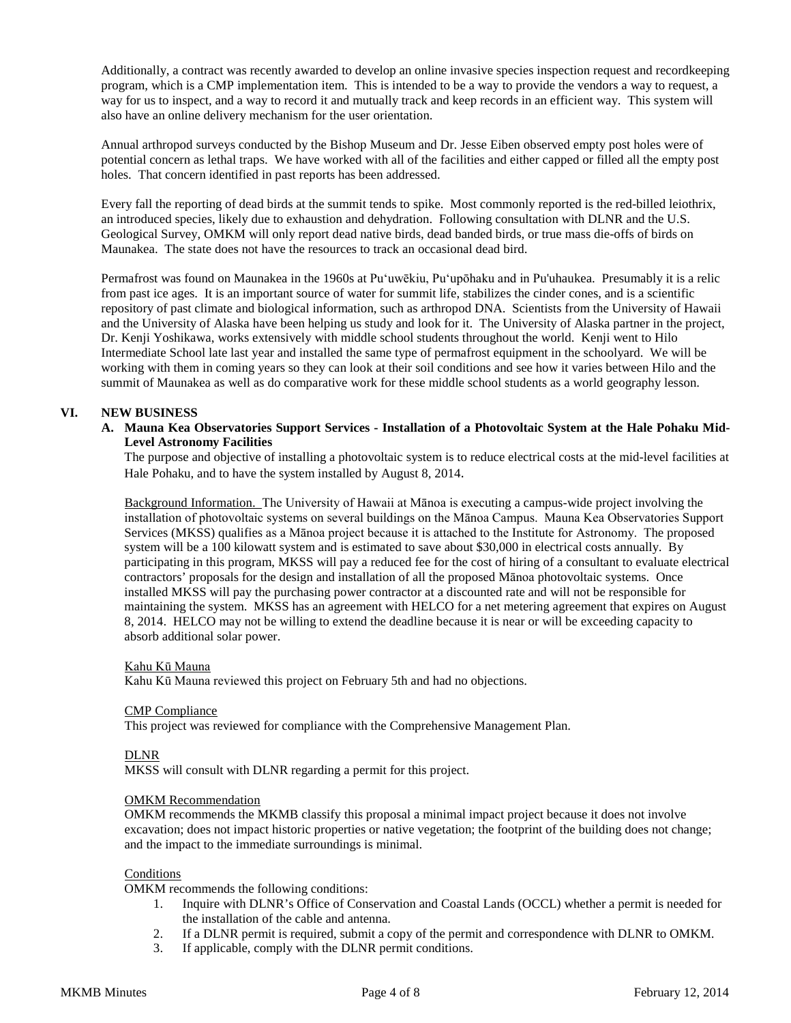Additionally, a contract was recently awarded to develop an online invasive species inspection request and recordkeeping program, which is a CMP implementation item. This is intended to be a way to provide the vendors a way to request, a way for us to inspect, and a way to record it and mutually track and keep records in an efficient way. This system will also have an online delivery mechanism for the user orientation.

Annual arthropod surveys conducted by the Bishop Museum and Dr. Jesse Eiben observed empty post holes were of potential concern as lethal traps. We have worked with all of the facilities and either capped or filled all the empty post holes. That concern identified in past reports has been addressed.

Every fall the reporting of dead birds at the summit tends to spike. Most commonly reported is the red-billed leiothrix, an introduced species, likely due to exhaustion and dehydration. Following consultation with DLNR and the U.S. Geological Survey, OMKM will only report dead native birds, dead banded birds, or true mass die-offs of birds on Maunakea. The state does not have the resources to track an occasional dead bird.

Permafrost was found on Maunakea in the 1960s at Puʻuwēkiu, Puʻupōhaku and in Pu'uhaukea. Presumably it is a relic from past ice ages. It is an important source of water for summit life, stabilizes the cinder cones, and is a scientific repository of past climate and biological information, such as arthropod DNA. Scientists from the University of Hawaii and the University of Alaska have been helping us study and look for it. The University of Alaska partner in the project, Dr. Kenji Yoshikawa, works extensively with middle school students throughout the world. Kenji went to Hilo Intermediate School late last year and installed the same type of permafrost equipment in the schoolyard. We will be working with them in coming years so they can look at their soil conditions and see how it varies between Hilo and the summit of Maunakea as well as do comparative work for these middle school students as a world geography lesson.

### **VI. NEW BUSINESS**

**A. Mauna Kea Observatories Support Services - Installation of a Photovoltaic System at the Hale Pohaku Mid-Level Astronomy Facilities**

The purpose and objective of installing a photovoltaic system is to reduce electrical costs at the mid-level facilities at Hale Pohaku, and to have the system installed by August 8, 2014.

Background Information. The University of Hawaii at Mānoa is executing a campus-wide project involving the installation of photovoltaic systems on several buildings on the Mānoa Campus. Mauna Kea Observatories Support Services (MKSS) qualifies as a Mānoa project because it is attached to the Institute for Astronomy. The proposed system will be a 100 kilowatt system and is estimated to save about \$30,000 in electrical costs annually. By participating in this program, MKSS will pay a reduced fee for the cost of hiring of a consultant to evaluate electrical contractors' proposals for the design and installation of all the proposed Mānoa photovoltaic systems. Once installed MKSS will pay the purchasing power contractor at a discounted rate and will not be responsible for maintaining the system. MKSS has an agreement with HELCO for a net metering agreement that expires on August 8, 2014. HELCO may not be willing to extend the deadline because it is near or will be exceeding capacity to absorb additional solar power.

#### Kahu Kū Mauna

Kahu Kū Mauna reviewed this project on February 5th and had no objections.

#### CMP Compliance

This project was reviewed for compliance with the Comprehensive Management Plan.

#### DLNR

MKSS will consult with DLNR regarding a permit for this project.

#### OMKM Recommendation

OMKM recommends the MKMB classify this proposal a minimal impact project because it does not involve excavation; does not impact historic properties or native vegetation; the footprint of the building does not change; and the impact to the immediate surroundings is minimal.

#### **Conditions**

OMKM recommends the following conditions:

- 1. Inquire with DLNR's Office of Conservation and Coastal Lands (OCCL) whether a permit is needed for the installation of the cable and antenna.
- 2. If a DLNR permit is required, submit a copy of the permit and correspondence with DLNR to OMKM.
- 3. If applicable, comply with the DLNR permit conditions.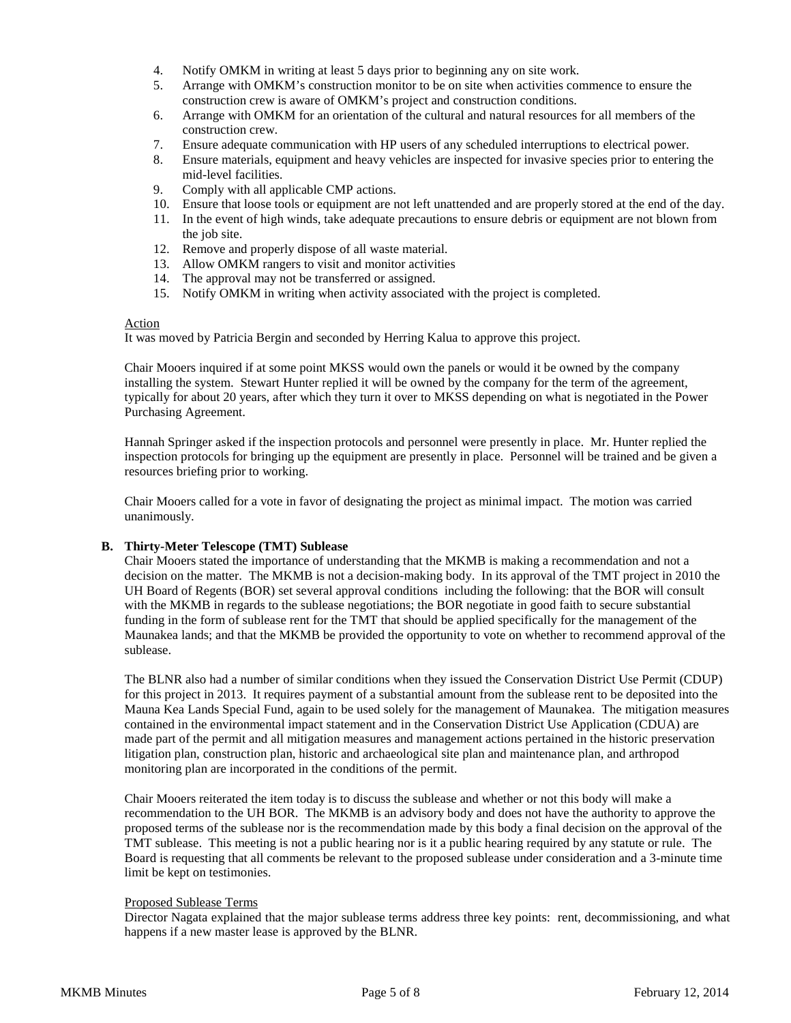- 4. Notify OMKM in writing at least 5 days prior to beginning any on site work.
- 5. Arrange with OMKM's construction monitor to be on site when activities commence to ensure the construction crew is aware of OMKM's project and construction conditions.
- 6. Arrange with OMKM for an orientation of the cultural and natural resources for all members of the construction crew.
- 7. Ensure adequate communication with HP users of any scheduled interruptions to electrical power.
- 8. Ensure materials, equipment and heavy vehicles are inspected for invasive species prior to entering the mid-level facilities.
- 9. Comply with all applicable CMP actions.
- 10. Ensure that loose tools or equipment are not left unattended and are properly stored at the end of the day.
- 11. In the event of high winds, take adequate precautions to ensure debris or equipment are not blown from the job site.
- 12. Remove and properly dispose of all waste material.
- 13. Allow OMKM rangers to visit and monitor activities
- 14. The approval may not be transferred or assigned.
- 15. Notify OMKM in writing when activity associated with the project is completed.

#### Action

It was moved by Patricia Bergin and seconded by Herring Kalua to approve this project.

Chair Mooers inquired if at some point MKSS would own the panels or would it be owned by the company installing the system. Stewart Hunter replied it will be owned by the company for the term of the agreement, typically for about 20 years, after which they turn it over to MKSS depending on what is negotiated in the Power Purchasing Agreement.

Hannah Springer asked if the inspection protocols and personnel were presently in place. Mr. Hunter replied the inspection protocols for bringing up the equipment are presently in place. Personnel will be trained and be given a resources briefing prior to working.

Chair Mooers called for a vote in favor of designating the project as minimal impact. The motion was carried unanimously.

### **B. Thirty-Meter Telescope (TMT) Sublease**

Chair Mooers stated the importance of understanding that the MKMB is making a recommendation and not a decision on the matter. The MKMB is not a decision-making body. In its approval of the TMT project in 2010 the UH Board of Regents (BOR) set several approval conditions including the following: that the BOR will consult with the MKMB in regards to the sublease negotiations; the BOR negotiate in good faith to secure substantial funding in the form of sublease rent for the TMT that should be applied specifically for the management of the Maunakea lands; and that the MKMB be provided the opportunity to vote on whether to recommend approval of the sublease.

The BLNR also had a number of similar conditions when they issued the Conservation District Use Permit (CDUP) for this project in 2013. It requires payment of a substantial amount from the sublease rent to be deposited into the Mauna Kea Lands Special Fund, again to be used solely for the management of Maunakea. The mitigation measures contained in the environmental impact statement and in the Conservation District Use Application (CDUA) are made part of the permit and all mitigation measures and management actions pertained in the historic preservation litigation plan, construction plan, historic and archaeological site plan and maintenance plan, and arthropod monitoring plan are incorporated in the conditions of the permit.

Chair Mooers reiterated the item today is to discuss the sublease and whether or not this body will make a recommendation to the UH BOR. The MKMB is an advisory body and does not have the authority to approve the proposed terms of the sublease nor is the recommendation made by this body a final decision on the approval of the TMT sublease. This meeting is not a public hearing nor is it a public hearing required by any statute or rule. The Board is requesting that all comments be relevant to the proposed sublease under consideration and a 3-minute time limit be kept on testimonies.

#### Proposed Sublease Terms

Director Nagata explained that the major sublease terms address three key points: rent, decommissioning, and what happens if a new master lease is approved by the BLNR.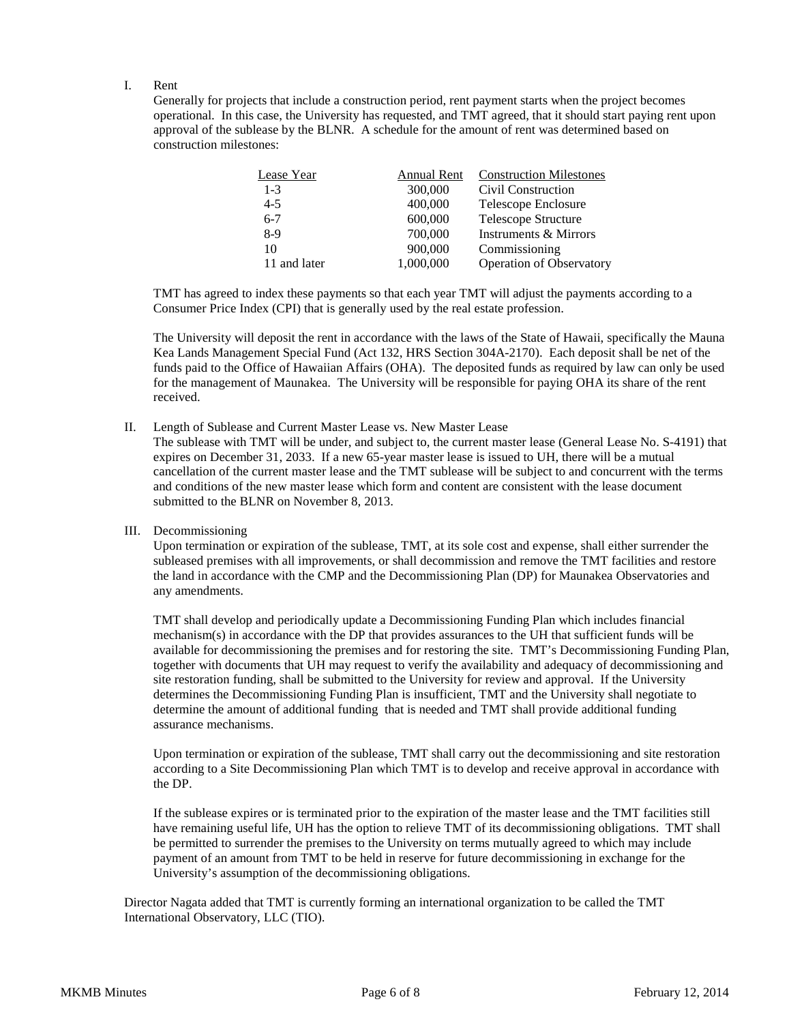### I. Rent

Generally for projects that include a construction period, rent payment starts when the project becomes operational. In this case, the University has requested, and TMT agreed, that it should start paying rent upon approval of the sublease by the BLNR. A schedule for the amount of rent was determined based on construction milestones:

| Lease Year   | Annual Rent | <b>Construction Milestones</b> |
|--------------|-------------|--------------------------------|
| $1 - 3$      | 300,000     | Civil Construction             |
| $4 - 5$      | 400,000     | Telescope Enclosure            |
| $6 - 7$      | 600,000     | Telescope Structure            |
| $8-9$        | 700,000     | Instruments & Mirrors          |
| 10           | 900,000     | Commissioning                  |
| 11 and later | 1,000,000   | Operation of Observatory       |

TMT has agreed to index these payments so that each year TMT will adjust the payments according to a Consumer Price Index (CPI) that is generally used by the real estate profession.

The University will deposit the rent in accordance with the laws of the State of Hawaii, specifically the Mauna Kea Lands Management Special Fund (Act 132, HRS Section 304A-2170). Each deposit shall be net of the funds paid to the Office of Hawaiian Affairs (OHA). The deposited funds as required by law can only be used for the management of Maunakea. The University will be responsible for paying OHA its share of the rent received.

#### II. Length of Sublease and Current Master Lease vs. New Master Lease

The sublease with TMT will be under, and subject to, the current master lease (General Lease No. S-4191) that expires on December 31, 2033. If a new 65-year master lease is issued to UH, there will be a mutual cancellation of the current master lease and the TMT sublease will be subject to and concurrent with the terms and conditions of the new master lease which form and content are consistent with the lease document submitted to the BLNR on November 8, 2013.

#### III. Decommissioning

Upon termination or expiration of the sublease, TMT, at its sole cost and expense, shall either surrender the subleased premises with all improvements, or shall decommission and remove the TMT facilities and restore the land in accordance with the CMP and the Decommissioning Plan (DP) for Maunakea Observatories and any amendments.

TMT shall develop and periodically update a Decommissioning Funding Plan which includes financial mechanism(s) in accordance with the DP that provides assurances to the UH that sufficient funds will be available for decommissioning the premises and for restoring the site. TMT's Decommissioning Funding Plan, together with documents that UH may request to verify the availability and adequacy of decommissioning and site restoration funding, shall be submitted to the University for review and approval. If the University determines the Decommissioning Funding Plan is insufficient, TMT and the University shall negotiate to determine the amount of additional funding that is needed and TMT shall provide additional funding assurance mechanisms.

Upon termination or expiration of the sublease, TMT shall carry out the decommissioning and site restoration according to a Site Decommissioning Plan which TMT is to develop and receive approval in accordance with the DP.

If the sublease expires or is terminated prior to the expiration of the master lease and the TMT facilities still have remaining useful life, UH has the option to relieve TMT of its decommissioning obligations. TMT shall be permitted to surrender the premises to the University on terms mutually agreed to which may include payment of an amount from TMT to be held in reserve for future decommissioning in exchange for the University's assumption of the decommissioning obligations.

Director Nagata added that TMT is currently forming an international organization to be called the TMT International Observatory, LLC (TIO).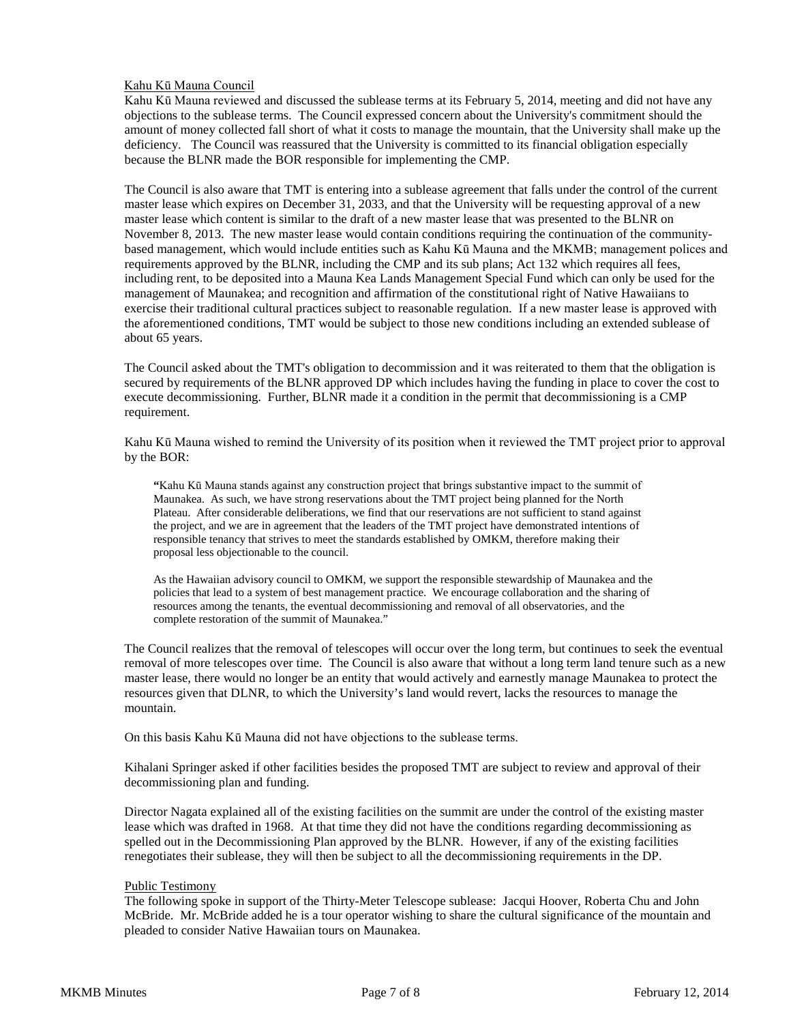### Kahu Kū Mauna Council

Kahu Kū Mauna reviewed and discussed the sublease terms at its February 5, 2014, meeting and did not have any objections to the sublease terms. The Council expressed concern about the University's commitment should the amount of money collected fall short of what it costs to manage the mountain, that the University shall make up the deficiency. The Council was reassured that the University is committed to its financial obligation especially because the BLNR made the BOR responsible for implementing the CMP.

The Council is also aware that TMT is entering into a sublease agreement that falls under the control of the current master lease which expires on December 31, 2033, and that the University will be requesting approval of a new master lease which content is similar to the draft of a new master lease that was presented to the BLNR on November 8, 2013. The new master lease would contain conditions requiring the continuation of the communitybased management, which would include entities such as Kahu Kū Mauna and the MKMB; management polices and requirements approved by the BLNR, including the CMP and its sub plans; Act 132 which requires all fees, including rent, to be deposited into a Mauna Kea Lands Management Special Fund which can only be used for the management of Maunakea; and recognition and affirmation of the constitutional right of Native Hawaiians to exercise their traditional cultural practices subject to reasonable regulation. If a new master lease is approved with the aforementioned conditions, TMT would be subject to those new conditions including an extended sublease of about 65 years.

The Council asked about the TMT's obligation to decommission and it was reiterated to them that the obligation is secured by requirements of the BLNR approved DP which includes having the funding in place to cover the cost to execute decommissioning. Further, BLNR made it a condition in the permit that decommissioning is a CMP requirement.

Kahu Kū Mauna wished to remind the University of its position when it reviewed the TMT project prior to approval by the BOR:

**"**Kahu Kū Mauna stands against any construction project that brings substantive impact to the summit of Maunakea. As such, we have strong reservations about the TMT project being planned for the North Plateau. After considerable deliberations, we find that our reservations are not sufficient to stand against the project, and we are in agreement that the leaders of the TMT project have demonstrated intentions of responsible tenancy that strives to meet the standards established by OMKM, therefore making their proposal less objectionable to the council.

As the Hawaiian advisory council to OMKM, we support the responsible stewardship of Maunakea and the policies that lead to a system of best management practice. We encourage collaboration and the sharing of resources among the tenants, the eventual decommissioning and removal of all observatories, and the complete restoration of the summit of Maunakea."

The Council realizes that the removal of telescopes will occur over the long term, but continues to seek the eventual removal of more telescopes over time. The Council is also aware that without a long term land tenure such as a new master lease, there would no longer be an entity that would actively and earnestly manage Maunakea to protect the resources given that DLNR, to which the University's land would revert, lacks the resources to manage the mountain.

On this basis Kahu Kū Mauna did not have objections to the sublease terms.

Kihalani Springer asked if other facilities besides the proposed TMT are subject to review and approval of their decommissioning plan and funding.

Director Nagata explained all of the existing facilities on the summit are under the control of the existing master lease which was drafted in 1968. At that time they did not have the conditions regarding decommissioning as spelled out in the Decommissioning Plan approved by the BLNR. However, if any of the existing facilities renegotiates their sublease, they will then be subject to all the decommissioning requirements in the DP.

#### Public Testimony

The following spoke in support of the Thirty-Meter Telescope sublease: Jacqui Hoover, Roberta Chu and John McBride. Mr. McBride added he is a tour operator wishing to share the cultural significance of the mountain and pleaded to consider Native Hawaiian tours on Maunakea.